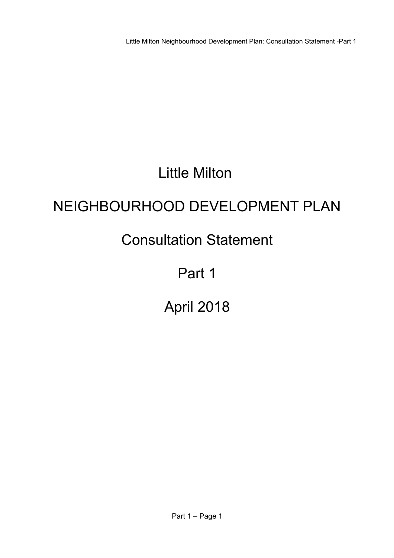# Little Milton

# NEIGHBOURHOOD DEVELOPMENT PLAN

# Consultation Statement

# Part 1

# April 2018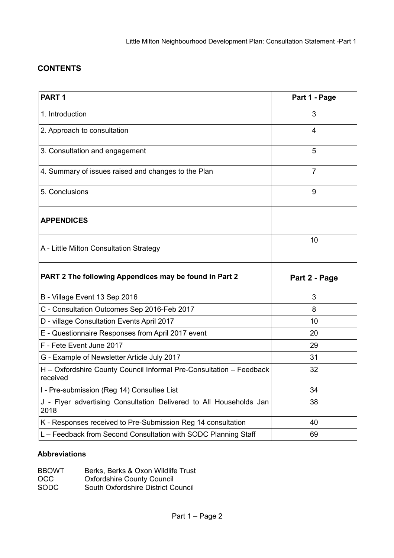### **CONTENTS**

| PART <sub>1</sub>                                                               | Part 1 - Page  |
|---------------------------------------------------------------------------------|----------------|
| 1. Introduction                                                                 | 3              |
| 2. Approach to consultation                                                     | 4              |
| 3. Consultation and engagement                                                  | 5              |
| 4. Summary of issues raised and changes to the Plan                             | $\overline{7}$ |
| 5. Conclusions                                                                  | 9              |
| <b>APPENDICES</b>                                                               |                |
| A - Little Milton Consultation Strategy                                         | 10             |
|                                                                                 |                |
| PART 2 The following Appendices may be found in Part 2                          | Part 2 - Page  |
| B - Village Event 13 Sep 2016                                                   | 3              |
| C - Consultation Outcomes Sep 2016-Feb 2017                                     | 8              |
| D - village Consultation Events April 2017                                      | 10             |
| E - Questionnaire Responses from April 2017 event                               | 20             |
| F - Fete Event June 2017                                                        | 29             |
| G - Example of Newsletter Article July 2017                                     | 31             |
| H - Oxfordshire County Council Informal Pre-Consultation - Feedback<br>received | 32             |
| I - Pre-submission (Reg 14) Consultee List                                      | 34             |
| J - Flyer advertising Consultation Delivered to All Households Jan<br>2018      | 38             |
| K - Responses received to Pre-Submission Reg 14 consultation                    | 40             |

#### **Abbreviations**

| <b>BBOWT</b> | Berks, Berks & Oxon Wildlife Trust |
|--------------|------------------------------------|
| OCC.         | <b>Oxfordshire County Council</b>  |
| <b>SODC</b>  | South Oxfordshire District Council |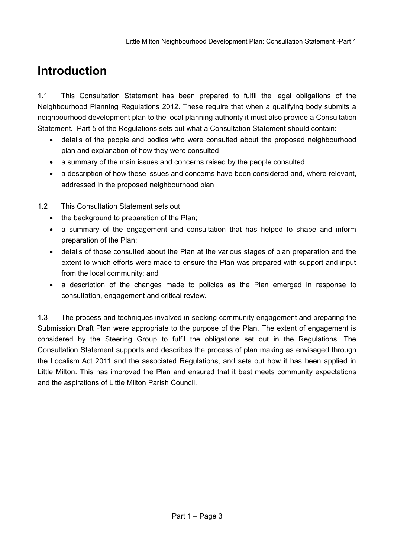## **Introduction**

1.1 This Consultation Statement has been prepared to fulfil the legal obligations of the Neighbourhood Planning Regulations 2012. These require that when a qualifying body submits a neighbourhood development plan to the local planning authority it must also provide a Consultation Statement. Part 5 of the Regulations sets out what a Consultation Statement should contain:

- details of the people and bodies who were consulted about the proposed neighbourhood plan and explanation of how they were consulted
- a summary of the main issues and concerns raised by the people consulted
- a description of how these issues and concerns have been considered and, where relevant, addressed in the proposed neighbourhood plan
- 1.2 This Consultation Statement sets out:
	- the background to preparation of the Plan;
	- a summary of the engagement and consultation that has helped to shape and inform preparation of the Plan;
	- details of those consulted about the Plan at the various stages of plan preparation and the extent to which efforts were made to ensure the Plan was prepared with support and input from the local community; and
	- a description of the changes made to policies as the Plan emerged in response to consultation, engagement and critical review.

1.3 The process and techniques involved in seeking community engagement and preparing the Submission Draft Plan were appropriate to the purpose of the Plan. The extent of engagement is considered by the Steering Group to fulfil the obligations set out in the Regulations. The Consultation Statement supports and describes the process of plan making as envisaged through the Localism Act 2011 and the associated Regulations, and sets out how it has been applied in Little Milton. This has improved the Plan and ensured that it best meets community expectations and the aspirations of Little Milton Parish Council.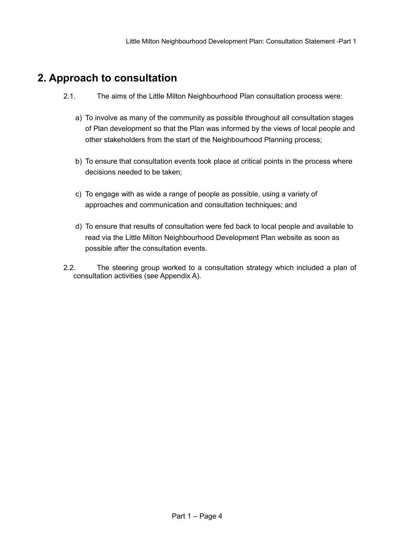## **2. Approach to consultation**

- 2.1. The aims of the Little Milton Neighbourhood Plan consultation process were:
	- a) To involve as many of the community as possible throughout all consultation stages of Plan development so that the Plan was informed by the views of local people and other stakeholders from the start of the Neighbourhood Planning process;
	- b) To ensure that consultation events took place at critical points in the process where decisions needed to be taken;
	- c) To engage with as wide a range of people as possible, using a variety of approaches and communication and consultation techniques; and
	- d) To ensure that results of consultation were fed back to local people and available to read via the Little Milton Neighbourhood Development Plan website as soon as possible after the consultation events.
- 2.2. The steering group worked to a consultation strategy which included a plan of consultation activities (see Appendix A).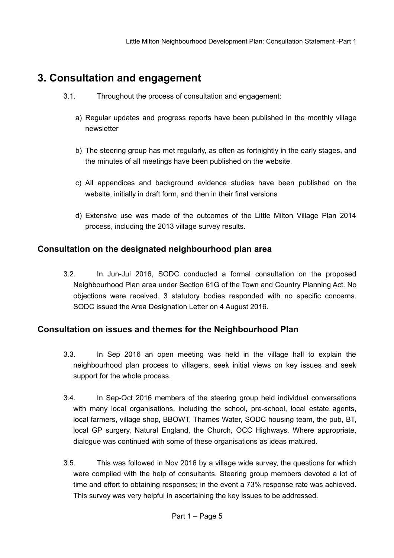## **3. Consultation and engagement**

- 3.1. Throughout the process of consultation and engagement:
	- a) Regular updates and progress reports have been published in the monthly village newsletter
	- b) The steering group has met regularly, as often as fortnightly in the early stages, and the minutes of all meetings have been published on the website.
	- c) All appendices and background evidence studies have been published on the website, initially in draft form, and then in their final versions
	- d) Extensive use was made of the outcomes of the Little Milton Village Plan 2014 process, including the 2013 village survey results.

### **Consultation on the designated neighbourhood plan area**

 3.2. In Jun-Jul 2016, SODC conducted a formal consultation on the proposed Neighbourhood Plan area under Section 61G of the Town and Country Planning Act. No objections were received. 3 statutory bodies responded with no specific concerns. SODC issued the Area Designation Letter on 4 August 2016.

### **Consultation on issues and themes for the Neighbourhood Plan**

- 3.3. In Sep 2016 an open meeting was held in the village hall to explain the neighbourhood plan process to villagers, seek initial views on key issues and seek support for the whole process.
- 3.4. In Sep-Oct 2016 members of the steering group held individual conversations with many local organisations, including the school, pre-school, local estate agents, local farmers, village shop, BBOWT, Thames Water, SODC housing team, the pub, BT, local GP surgery, Natural England, the Church, OCC Highways. Where appropriate, dialogue was continued with some of these organisations as ideas matured.
- 3.5. This was followed in Nov 2016 by a village wide survey, the questions for which were compiled with the help of consultants. Steering group members devoted a lot of time and effort to obtaining responses; in the event a 73% response rate was achieved. This survey was very helpful in ascertaining the key issues to be addressed.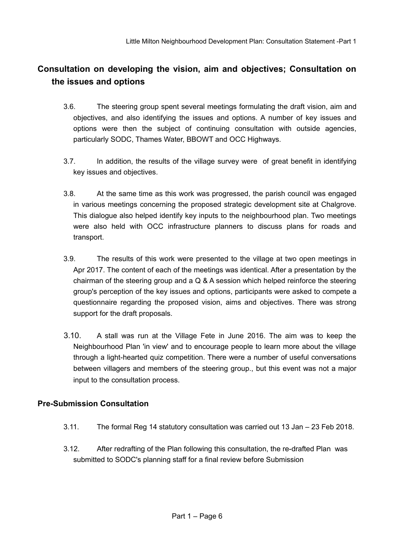### **Consultation on developing the vision, aim and objectives; Consultation on the issues and options**

- 3.6. The steering group spent several meetings formulating the draft vision, aim and objectives, and also identifying the issues and options. A number of key issues and options were then the subject of continuing consultation with outside agencies, particularly SODC, Thames Water, BBOWT and OCC Highways.
- 3.7. In addition, the results of the village survey were of great benefit in identifying key issues and objectives.
- 3.8. At the same time as this work was progressed, the parish council was engaged in various meetings concerning the proposed strategic development site at Chalgrove. This dialogue also helped identify key inputs to the neighbourhood plan. Two meetings were also held with OCC infrastructure planners to discuss plans for roads and transport.
- 3.9. The results of this work were presented to the village at two open meetings in Apr 2017. The content of each of the meetings was identical. After a presentation by the chairman of the steering group and a Q & A session which helped reinforce the steering group's perception of the key issues and options, participants were asked to compete a questionnaire regarding the proposed vision, aims and objectives. There was strong support for the draft proposals.
- 3.10. A stall was run at the Village Fete in June 2016. The aim was to keep the Neighbourhood Plan 'in view' and to encourage people to learn more about the village through a light-hearted quiz competition. There were a number of useful conversations between villagers and members of the steering group., but this event was not a major input to the consultation process.

#### **Pre-Submission Consultation**

- 3.11. The formal Reg 14 statutory consultation was carried out 13 Jan 23 Feb 2018.
- 3.12. After redrafting of the Plan following this consultation, the re-drafted Plan was submitted to SODC's planning staff for a final review before Submission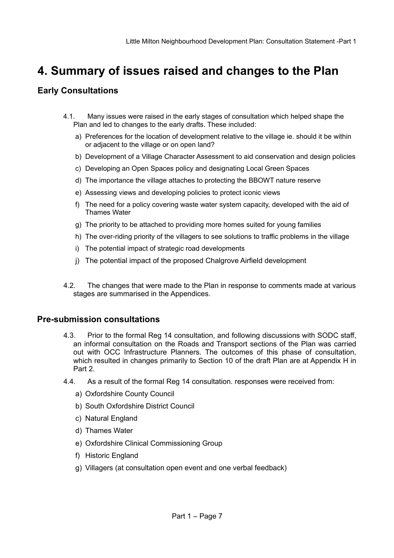## **4. Summary of issues raised and changes to the Plan**

#### **Early Consultations**

- 4.1. Many issues were raised in the early stages of consultation which helped shape the Plan and led to changes to the early drafts. These included:
	- a) Preferences for the location of development relative to the village ie. should it be within or adjacent to the village or on open land?
	- b) Development of a Village Character Assessment to aid conservation and design policies
	- c) Developing an Open Spaces policy and designating Local Green Spaces
	- d) The importance the village attaches to protecting the BBOWT nature reserve
	- e) Assessing views and developing policies to protect iconic views
	- f) The need for a policy covering waste water system capacity, developed with the aid of Thames Water
	- g) The priority to be attached to providing more homes suited for young families
	- h) The over-riding priority of the villagers to see solutions to traffic problems in the village
	- i) The potential impact of strategic road developments
	- j) The potential impact of the proposed Chalgrove Airfield development
- 4.2. The changes that were made to the Plan in response to comments made at various stages are summarised in the Appendices.

#### **Pre-submission consultations**

- 4.3. Prior to the formal Reg 14 consultation, and following discussions with SODC staff, an informal consultation on the Roads and Transport sections of the Plan was carried out with OCC Infrastructure Planners. The outcomes of this phase of consultation, which resulted in changes primarily to Section 10 of the draft Plan are at Appendix H in Part 2.
- 4.4. As a result of the formal Reg 14 consultation. responses were received from:
	- a) Oxfordshire County Council
	- b) South Oxfordshire District Council
	- c) Natural England
	- d) Thames Water
	- e) Oxfordshire Clinical Commissioning Group
	- f) Historic England
	- g) Villagers (at consultation open event and one verbal feedback)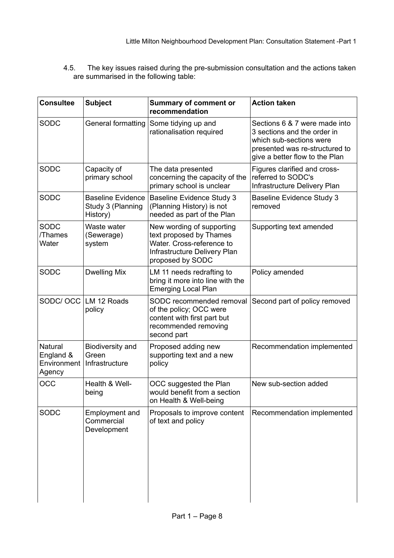4.5. The key issues raised during the pre-submission consultation and the actions taken are summarised in the following table:

| <b>Consultee</b>                              | <b>Subject</b>                                            | <b>Summary of comment or</b><br>recommendation                                                                                        | <b>Action taken</b>                                                                                                                                         |  |
|-----------------------------------------------|-----------------------------------------------------------|---------------------------------------------------------------------------------------------------------------------------------------|-------------------------------------------------------------------------------------------------------------------------------------------------------------|--|
| <b>SODC</b>                                   | General formatting                                        | Some tidying up and<br>rationalisation required                                                                                       | Sections 6 & 7 were made into<br>3 sections and the order in<br>which sub-sections were<br>presented was re-structured to<br>give a better flow to the Plan |  |
| SODC                                          | Capacity of<br>primary school                             | The data presented<br>concerning the capacity of the<br>primary school is unclear                                                     | Figures clarified and cross-<br>referred to SODC's<br>Infrastructure Delivery Plan                                                                          |  |
| <b>SODC</b>                                   | <b>Baseline Evidence</b><br>Study 3 (Planning<br>History) | <b>Baseline Evidence Study 3</b><br>(Planning History) is not<br>needed as part of the Plan                                           | <b>Baseline Evidence Study 3</b><br>removed                                                                                                                 |  |
| <b>SODC</b><br>/Thames<br>Water               | Waste water<br>(Sewerage)<br>system                       | New wording of supporting<br>text proposed by Thames<br>Water. Cross-reference to<br>Infrastructure Delivery Plan<br>proposed by SODC | Supporting text amended                                                                                                                                     |  |
| SODC                                          | <b>Dwelling Mix</b>                                       | LM 11 needs redrafting to<br>bring it more into line with the<br><b>Emerging Local Plan</b>                                           | Policy amended                                                                                                                                              |  |
|                                               | SODC/ OCC LM 12 Roads<br>policy                           | SODC recommended removal<br>of the policy; OCC were<br>content with first part but<br>recommended removing<br>second part             | Second part of policy removed                                                                                                                               |  |
| Natural<br>England &<br>Environment<br>Agency | Biodiversity and<br>Green<br>Infrastructure               | Proposed adding new<br>supporting text and a new<br>policy                                                                            | Recommendation implemented                                                                                                                                  |  |
| OCC                                           | Health & Well-<br>being                                   | OCC suggested the Plan<br>would benefit from a section<br>on Health & Well-being                                                      | New sub-section added                                                                                                                                       |  |
| <b>SODC</b>                                   | Employment and<br>Commercial<br>Development               | Proposals to improve content<br>of text and policy                                                                                    | Recommendation implemented                                                                                                                                  |  |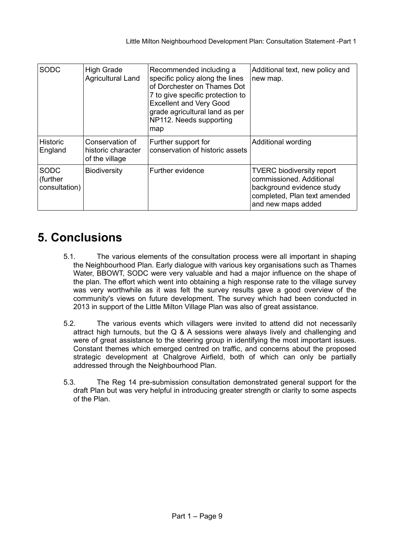| <b>SODC</b>                              | <b>High Grade</b><br><b>Agricultural Land</b>           | Recommended including a<br>specific policy along the lines<br>of Dorchester on Thames Dot<br>7 to give specific protection to<br><b>Excellent and Very Good</b><br>grade agricultural land as per<br>NP112. Needs supporting<br>map | Additional text, new policy and<br>new map.                                                                                                     |
|------------------------------------------|---------------------------------------------------------|-------------------------------------------------------------------------------------------------------------------------------------------------------------------------------------------------------------------------------------|-------------------------------------------------------------------------------------------------------------------------------------------------|
| <b>Historic</b><br>England               | Conservation of<br>historic character<br>of the village | Further support for<br>conservation of historic assets                                                                                                                                                                              | Additional wording                                                                                                                              |
| <b>SODC</b><br>(further<br>consultation) | <b>Biodiversity</b>                                     | Further evidence                                                                                                                                                                                                                    | <b>TVERC biodiversity report</b><br>commissioned. Additional<br>background evidence study<br>completed, Plan text amended<br>and new maps added |

## **5. Conclusions**

- 5.1. The various elements of the consultation process were all important in shaping the Neighbourhood Plan. Early dialogue with various key organisations such as Thames Water, BBOWT, SODC were very valuable and had a major influence on the shape of the plan. The effort which went into obtaining a high response rate to the village survey was very worthwhile as it was felt the survey results gave a good overview of the community's views on future development. The survey which had been conducted in 2013 in support of the Little Milton Village Plan was also of great assistance.
- 5.2. The various events which villagers were invited to attend did not necessarily attract high turnouts, but the Q & A sessions were always lively and challenging and were of great assistance to the steering group in identifying the most important issues. Constant themes which emerged centred on traffic, and concerns about the proposed strategic development at Chalgrove Airfield, both of which can only be partially addressed through the Neighbourhood Plan.
- 5.3. The Reg 14 pre-submission consultation demonstrated general support for the draft Plan but was very helpful in introducing greater strength or clarity to some aspects of the Plan.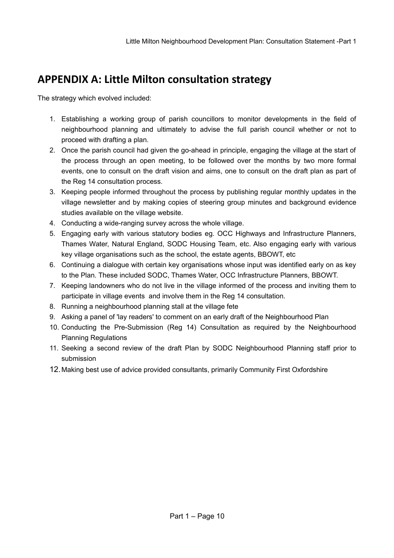## **APPENDIX A: Little Milton consultation strategy**

The strategy which evolved included:

- 1. Establishing a working group of parish councillors to monitor developments in the field of neighbourhood planning and ultimately to advise the full parish council whether or not to proceed with drafting a plan.
- 2. Once the parish council had given the go-ahead in principle, engaging the village at the start of the process through an open meeting, to be followed over the months by two more formal events, one to consult on the draft vision and aims, one to consult on the draft plan as part of the Reg 14 consultation process.
- 3. Keeping people informed throughout the process by publishing regular monthly updates in the village newsletter and by making copies of steering group minutes and background evidence studies available on the village website.
- 4. Conducting a wide-ranging survey across the whole village.
- 5. Engaging early with various statutory bodies eg. OCC Highways and Infrastructure Planners, Thames Water, Natural England, SODC Housing Team, etc. Also engaging early with various key village organisations such as the school, the estate agents, BBOWT, etc
- 6. Continuing a dialogue with certain key organisations whose input was identified early on as key to the Plan. These included SODC, Thames Water, OCC Infrastructure Planners, BBOWT.
- 7. Keeping landowners who do not live in the village informed of the process and inviting them to participate in village events and involve them in the Reg 14 consultation.
- 8. Running a neighbourhood planning stall at the village fete
- 9. Asking a panel of 'lay readers' to comment on an early draft of the Neighbourhood Plan
- 10. Conducting the Pre-Submission (Reg 14) Consultation as required by the Neighbourhood Planning Regulations
- 11. Seeking a second review of the draft Plan by SODC Neighbourhood Planning staff prior to submission
- 12.Making best use of advice provided consultants, primarily Community First Oxfordshire